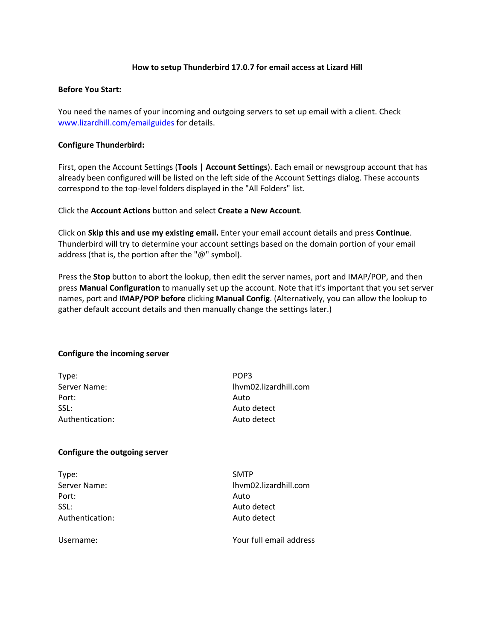# **How to setup Thunderbird 17.0.7 for email access at Lizard Hill**

### **Before You Start:**

You need the names of your incoming and outgoing servers to set up email with a client. Check www.lizardhill.com/emailguides for details.

# **Configure Thunderbird:**

First, open the Account Settings (**Tools | Account Settings**). Each email or newsgroup account that has already been configured will be listed on the left side of the Account Settings dialog. These accounts correspond to the top‐level folders displayed in the "All Folders" list.

Click the **Account Actions** button and select **Create a New Account**.

Click on **Skip this and use my existing email.** Enter your email account details and press **Continue**. Thunderbird will try to determine your account settings based on the domain portion of your email address (that is, the portion after the "@" symbol).

Press the **Stop** button to abort the lookup, then edit the server names, port and IMAP/POP, and then press **Manual Configuration** to manually set up the account. Note that it's important that you set server names, port and **IMAP/POP before** clicking **Manual Config**. (Alternatively, you can allow the lookup to gather default account details and then manually change the settings later.)

### **Configure the incoming server**

| Type:           | POP3                  |  |  |
|-----------------|-----------------------|--|--|
| Server Name:    | lhym02.lizardhill.com |  |  |
| Port:           | Auto                  |  |  |
| SSL:            | Auto detect           |  |  |
| Authentication: | Auto detect           |  |  |
|                 |                       |  |  |

### **Configure the outgoing server**

Type: SMTP Port: Auto SSL: Auto detect Authentication: 
and all the Auto detect

Server Name:  $\blacksquare$ 

Username: Your full email address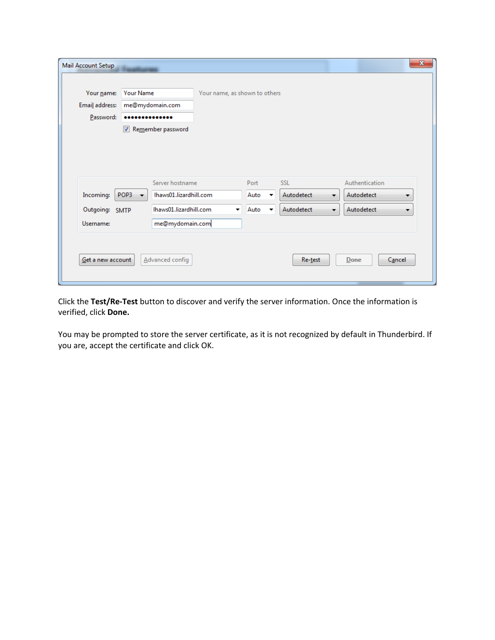| Your name:<br>Email address:<br>Password: | <b>Your Name</b><br>             | me@mydomain.com<br>Remember password      | Your name, as shown to others |              |                          |                                |                                   |  |
|-------------------------------------------|----------------------------------|-------------------------------------------|-------------------------------|--------------|--------------------------|--------------------------------|-----------------------------------|--|
| Incoming:                                 | POP3<br>$\overline{\phantom{a}}$ | Server hostname<br>Ihaws01.lizardhill.com |                               | Port<br>Auto | $\overline{\phantom{a}}$ | <b>SSL</b><br>Autodetect<br>×. | Authentication<br>Autodetect<br>▼ |  |
| Outgoing: SMTP<br>Username:               |                                  | Ihaws01.lizardhill.com<br>me@mydomain.com | ۰                             | Auto         | $\overline{\phantom{a}}$ | Autodetect<br>×.               | Autodetect<br>▼.                  |  |
| Get a new account                         |                                  | Advanced config                           |                               |              |                          | Re-test                        | Done<br>Cancel                    |  |

Click the **Test/Re‐Test** button to discover and verify the server information. Once the information is verified, click **Done.**

You may be prompted to store the server certificate, as it is not recognized by default in Thunderbird. If you are, accept the certificate and click OK.